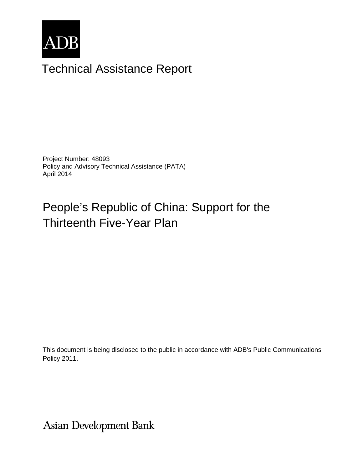

# Technical Assistance Report

Project Number: 48093 Policy and Advisory Technical Assistance (PATA) April 2014

## People's Republic of China: Support for the Thirteenth Five-Year Plan

This document is being disclosed to the public in accordance with ADB's Public Communications Policy 2011.

**Asian Development Bank**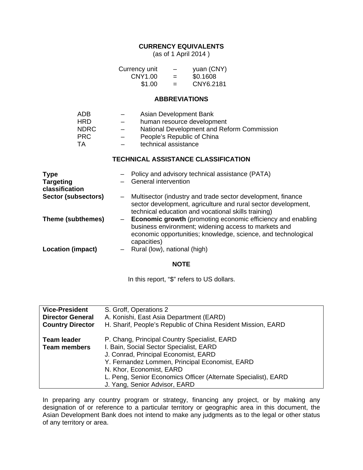### **CURRENCY EQUIVALENTS**

(as of 1 April 2014 )

| Currency unit | $\overline{\phantom{m}}$ | yuan (CNY) |
|---------------|--------------------------|------------|
| CNY1.00       | $=$                      | \$0.1608   |
| \$1.00        | $=$                      | CNY6.2181  |

#### **ABBREVIATIONS**

| ADB        | $\overline{\phantom{0}}$ | Asian Development Bank                     |
|------------|--------------------------|--------------------------------------------|
| HRD        |                          | human resource development                 |
| NDRC       | $\equiv$                 | National Development and Reform Commission |
| <b>PRC</b> | $\qquad \qquad -$        | People's Republic of China                 |
| TA.        |                          | technical assistance                       |

#### **TECHNICAL ASSISTANCE CLASSIFICATION**

| <b>Type</b><br><b>Targeting</b><br>classification |                          | Policy and advisory technical assistance (PATA)<br>General intervention                                                                                                                                    |
|---------------------------------------------------|--------------------------|------------------------------------------------------------------------------------------------------------------------------------------------------------------------------------------------------------|
| Sector (subsectors)                               | $\qquad \qquad -$        | Multisector (industry and trade sector development, finance<br>sector development, agriculture and rural sector development,<br>technical education and vocational skills training)                        |
| Theme (subthemes)                                 |                          | <b>Economic growth</b> (promoting economic efficiency and enabling<br>business environment; widening access to markets and<br>economic opportunities; knowledge, science, and technological<br>capacities) |
| <b>Location (impact)</b>                          | $\overline{\phantom{0}}$ | Rural (low), national (high)                                                                                                                                                                               |

#### **NOTE**

In this report, "\$" refers to US dollars.

| <b>Vice-President</b>                                          | S. Groff, Operations 2                                         |
|----------------------------------------------------------------|----------------------------------------------------------------|
| <b>Director General</b>                                        | A. Konishi, East Asia Department (EARD)                        |
| <b>Country Director</b>                                        | H. Sharif, People's Republic of China Resident Mission, EARD   |
|                                                                |                                                                |
| <b>Team leader</b>                                             | P. Chang, Principal Country Specialist, EARD                   |
| I. Bain, Social Sector Specialist, EARD<br><b>Team members</b> |                                                                |
|                                                                | J. Conrad, Principal Economist, EARD                           |
|                                                                | Y. Fernandez Lommen, Principal Economist, EARD                 |
|                                                                | N. Khor, Economist, EARD                                       |
|                                                                | L. Peng, Senior Economics Officer (Alternate Specialist), EARD |
|                                                                | J. Yang, Senior Advisor, EARD                                  |

In preparing any country program or strategy, financing any project, or by making any designation of or reference to a particular territory or geographic area in this document, the Asian Development Bank does not intend to make any judgments as to the legal or other status of any territory or area.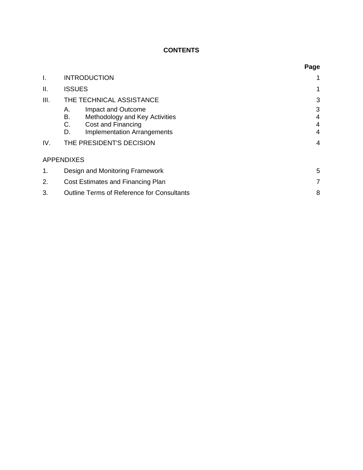## **CONTENTS**

|      |                                                                                                                                          | Page             |  |  |
|------|------------------------------------------------------------------------------------------------------------------------------------------|------------------|--|--|
| I.   | <b>INTRODUCTION</b>                                                                                                                      |                  |  |  |
| ΙΙ.  | <b>ISSUES</b>                                                                                                                            | 1                |  |  |
| III. | THE TECHNICAL ASSISTANCE                                                                                                                 | 3                |  |  |
|      | Impact and Outcome<br>Α.<br>В.<br>Methodology and Key Activities<br>Cost and Financing<br>C.<br><b>Implementation Arrangements</b><br>D. | 3<br>4<br>4<br>4 |  |  |
| IV.  | THE PRESIDENT'S DECISION                                                                                                                 |                  |  |  |
|      | <b>APPENDIXES</b>                                                                                                                        |                  |  |  |
| 1.   | Design and Monitoring Framework                                                                                                          |                  |  |  |
| 2.   | Cost Estimates and Financing Plan                                                                                                        |                  |  |  |
| 3.   | <b>Outline Terms of Reference for Consultants</b>                                                                                        | 8                |  |  |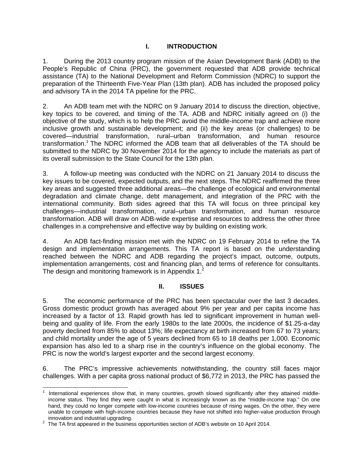## **I. INTRODUCTION**

1. During the 2013 country program mission of the Asian Development Bank (ADB) to the People's Republic of China (PRC), the government requested that ADB provide technical assistance (TA) to the National Development and Reform Commission (NDRC) to support the preparation of the Thirteenth Five-Year Plan (13th plan). ADB has included the proposed policy and advisory TA in the 2014 TA pipeline for the PRC.

2. An ADB team met with the NDRC on 9 January 2014 to discuss the direction, objective, key topics to be covered, and timing of the TA. ADB and NDRC initially agreed on (i) the objective of the study, which is to help the PRC avoid the middle-income trap and achieve more inclusive growth and sustainable development; and (ii) the key areas (or challenges) to be covered—industrial transformation, rural–urban transformation, and human resource transformation.<sup>1</sup> The NDRC informed the ADB team that all deliverables of the TA should be submitted to the NDRC by 30 November 2014 for the agency to include the materials as part of its overall submission to the State Council for the 13th plan.

3. A follow-up meeting was conducted with the NDRC on 21 January 2014 to discuss the key issues to be covered, expected outputs, and the next steps. The NDRC reaffirmed the three key areas and suggested three additional areas—the challenge of ecological and environmental degradation and climate change, debt management, and integration of the PRC with the international community. Both sides agreed that this TA will focus on three principal key challenges—industrial transformation, rural–urban transformation, and human resource transformation. ADB will draw on ADB-wide expertise and resources to address the other three challenges in a comprehensive and effective way by building on existing work.

4. An ADB fact-finding mission met with the NDRC on 19 February 2014 to refine the TA design and implementation arrangements. This TA report is based on the understanding reached between the NDRC and ADB regarding the project's impact, outcome, outputs, implementation arrangements, cost and financing plan, and terms of reference for consultants. The design and monitoring framework is in Appendix 1.<sup>2</sup>

#### **II. ISSUES**

5. The economic performance of the PRC has been spectacular over the last 3 decades. Gross domestic product growth has averaged about 9% per year and per capita income has increased by a factor of 13. Rapid growth has led to significant improvement in human wellbeing and quality of life. From the early 1980s to the late 2000s, the incidence of \$1.25-a-day poverty declined from 85% to about 13%; life expectancy at birth increased from 67 to 73 years; and child mortality under the age of 5 years declined from 65 to 18 deaths per 1,000. Economic expansion has also led to a sharp rise in the country's influence on the global economy. The PRC is now the world's largest exporter and the second largest economy.

6. The PRC's impressive achievements notwithstanding, the country still faces major challenges. With a per capita gross national product of \$6,772 in 2013, the PRC has passed the

<sup>-</sup>1 International experiences show that, in many countries, growth slowed significantly after they attained middleincome status. They find they were caught in what is increasingly known as the "middle-income trap." On one hand, they could no longer compete with low-income countries because of rising wages. On the other, they were unable to compete with high-income countries because they have not shifted into higher-value production through

innovation and industrial upgrading.<br><sup>2</sup> The TA first appeared in the business opportunities section of ADB's website on 10 April 2014.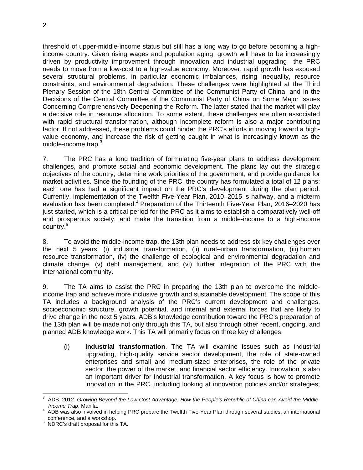threshold of upper-middle-income status but still has a long way to go before becoming a highincome country. Given rising wages and population aging, growth will have to be increasingly driven by productivity improvement through innovation and industrial upgrading—the PRC needs to move from a low-cost to a high-value economy. Moreover, rapid growth has exposed several structural problems, in particular economic imbalances, rising inequality, resource constraints, and environmental degradation. These challenges were highlighted at the Third Plenary Session of the 18th Central Committee of the Communist Party of China, and in the Decisions of the Central Committee of the Communist Party of China on Some Major Issues Concerning Comprehensively Deepening the Reform. The latter stated that the market will play a decisive role in resource allocation. To some extent, these challenges are often associated with rapid structural transformation, although incomplete reform is also a major contributing factor. If not addressed, these problems could hinder the PRC's efforts in moving toward a highvalue economy, and increase the risk of getting caught in what is increasingly known as the middle-income trap. $3$ 

7. The PRC has a long tradition of formulating five-year plans to address development challenges, and promote social and economic development. The plans lay out the strategic objectives of the country, determine work priorities of the government, and provide guidance for market activities. Since the founding of the PRC, the country has formulated a total of 12 plans; each one has had a significant impact on the PRC's development during the plan period. Currently, implementation of the Twelfth Five-Year Plan, 2010–2015 is halfway, and a midterm evaluation has been completed.<sup>4</sup> Preparation of the Thirteenth Five-Year Plan, 2016–2020 has just started, which is a critical period for the PRC as it aims to establish a comparatively well-off and prosperous society, and make the transition from a middle-income to a high-income country.<sup>5</sup>

8. To avoid the middle-income trap, the 13th plan needs to address six key challenges over the next 5 years: (i) industrial transformation, (ii) rural–urban transformation, (iii) human resource transformation, (iv) the challenge of ecological and environmental degradation and climate change, (v) debt management, and (vi) further integration of the PRC with the international community.

9. The TA aims to assist the PRC in preparing the 13th plan to overcome the middleincome trap and achieve more inclusive growth and sustainable development. The scope of this TA includes a background analysis of the PRC's current development and challenges, socioeconomic structure, growth potential, and internal and external forces that are likely to drive change in the next 5 years. ADB's knowledge contribution toward the PRC's preparation of the 13th plan will be made not only through this TA, but also through other recent, ongoing, and planned ADB knowledge work. This TA will primarily focus on three key challenges.

(i) **Industrial transformation**. The TA will examine issues such as industrial upgrading, high-quality service sector development, the role of state-owned enterprises and small and medium-sized enterprises, the role of the private sector, the power of the market, and financial sector efficiency. Innovation is also an important driver for industrial transformation. A key focus is how to promote innovation in the PRC, including looking at innovation policies and/or strategies;

 $\overline{a}$ 3 ADB. 2012. *Growing Beyond the Low-Cost Advantage: How the People's Republic of China can Avoid the Middle-Income Trap*. Manila. 4

ADB was also involved in helping PRC prepare the Twelfth Five-Year Plan through several studies, an international conference, and a workshop.

 $5$  NDRC's draft proposal for this TA.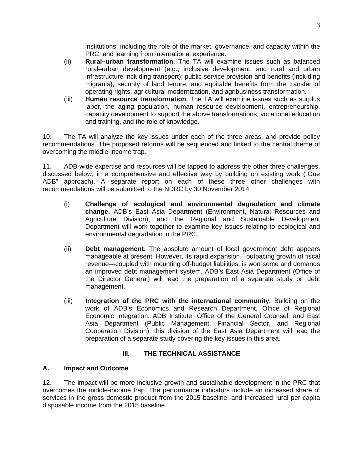institutions, including the role of the market, governance, and capacity within the PRC; and learning from international experience.

- (ii) **Rural–urban transformation**. The TA will examine issues such as balanced rural–urban development (e.g., inclusive development, and rural and urban infrastructure including transport); public service provision and benefits (including migrants); security of land tenure; and equitable benefits from the transfer of operating rights, agricultural modernization, and agribusiness transformation.
- (iii) **Human resource transformation**. The TA will examine issues such as surplus labor, the aging population, human resource development, entrepreneurship, capacity development to support the above transformations, vocational education and training, and the role of knowledge.

10. The TA will analyze the key issues under each of the three areas, and provide policy recommendations. The proposed reforms will be sequenced and linked to the central theme of overcoming the middle-income trap.

11. ADB-wide expertise and resources will be tapped to address the other three challenges, discussed below, in a comprehensive and effective way by building on existing work ("One ADB" approach). A separate report on each of these three other challenges with recommendations will be submitted to the NDRC by 30 November 2014.

- (i) **Challenge of ecological and environmental degradation and climate change.** ADB's East Asia Department (Environment, Natural Resources and Agriculture Division), and the Regional and Sustainable Development Department will work together to examine key issues relating to ecological and environmental degradation in the PRC.
- (ii) **Debt management.** The absolute amount of local government debt appears manageable at present. However, its rapid expansion—outpacing growth of fiscal revenue—coupled with mounting off-budget liabilities, is worrisome and demands an improved debt management system. ADB's East Asia Department (Office of the Director General) will lead the preparation of a separate study on debt management.
- (iii) **Integration of the PRC with the international community.** Building on the work of ADB's Economics and Research Department, Office of Regional Economic Integration, ADB Institute, Office of the General Counsel, and East Asia Department (Public Management, Financial Sector, and Regional Cooperation Division); this division of the East Asia Department will lead the preparation of a separate study covering the key issues in this area.

#### **III. THE TECHNICAL ASSISTANCE**

#### **A. Impact and Outcome**

12. The impact will be more inclusive growth and sustainable development in the PRC that overcomes the middle-income trap. The performance indicators include an increased share of services in the gross domestic product from the 2015 baseline, and increased rural per capita disposable income from the 2015 baseline.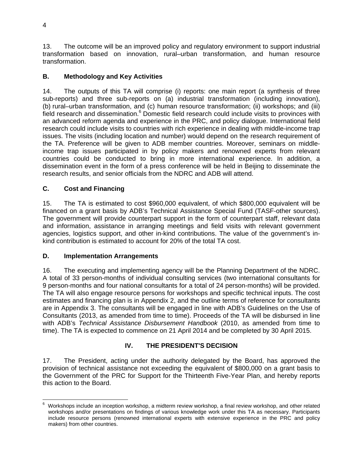13. The outcome will be an improved policy and regulatory environment to support industrial transformation based on innovation, rural–urban transformation, and human resource transformation.

## **B. Methodology and Key Activities**

14. The outputs of this TA will comprise (i) reports: one main report (a synthesis of three sub-reports) and three sub-reports on (a) industrial transformation (including innovation), (b) rural–urban transformation, and (c) human resource transformation; (ii) workshops; and (iii) field research and dissemination.<sup>6</sup> Domestic field research could include visits to provinces with an advanced reform agenda and experience in the PRC, and policy dialogue. International field research could include visits to countries with rich experience in dealing with middle-income trap issues. The visits (including location and number) would depend on the research requirement of the TA. Preference will be given to ADB member countries. Moreover, seminars on middleincome trap issues participated in by policy makers and renowned experts from relevant countries could be conducted to bring in more international experience. In addition, a dissemination event in the form of a press conference will be held in Beijing to disseminate the research results, and senior officials from the NDRC and ADB will attend.

### **C. Cost and Financing**

15. The TA is estimated to cost \$960,000 equivalent, of which \$800,000 equivalent will be financed on a grant basis by ADB's Technical Assistance Special Fund (TASF-other sources). The government will provide counterpart support in the form of counterpart staff, relevant data and information, assistance in arranging meetings and field visits with relevant government agencies, logistics support, and other in-kind contributions. The value of the government's inkind contribution is estimated to account for 20% of the total TA cost.

#### **D. Implementation Arrangements**

16. The executing and implementing agency will be the Planning Department of the NDRC. A total of 33 person-months of individual consulting services (two international consultants for 9 person-months and four national consultants for a total of 24 person-months) will be provided. The TA will also engage resource persons for workshops and specific technical inputs. The cost estimates and financing plan is in Appendix 2, and the outline terms of reference for consultants are in Appendix 3. The consultants will be engaged in line with ADB's Guidelines on the Use of Consultants (2013, as amended from time to time). Proceeds of the TA will be disbursed in line with ADB's *Technical Assistance Disbursement Handbook* (2010, as amended from time to time). The TA is expected to commence on 21 April 2014 and be completed by 30 April 2015.

## **IV. THE PRESIDENT'S DECISION**

17. The President, acting under the authority delegated by the Board, has approved the provision of technical assistance not exceeding the equivalent of \$800,000 on a grant basis to the Government of the PRC for Support for the Thirteenth Five-Year Plan, and hereby reports this action to the Board.

 6 Workshops include an inception workshop, a midterm review workshop, a final review workshop, and other related workshops and/or presentations on findings of various knowledge work under this TA as necessary. Participants include resource persons (renowned international experts with extensive experience in the PRC and policy makers) from other countries.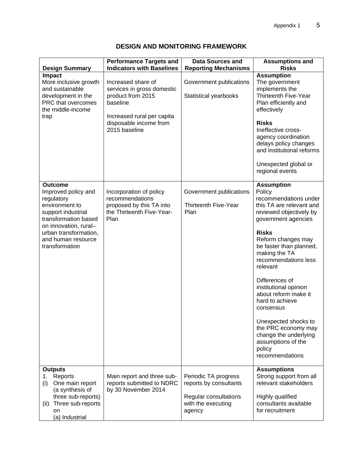| <b>Design Summary</b>                                                                                                                                                                                         | <b>Performance Targets and</b><br><b>Indicators with Baselines</b>                                                                                         | <b>Data Sources and</b><br><b>Reporting Mechanisms</b>                                                  | <b>Assumptions and</b><br><b>Risks</b>                                                                                                                                                                                                                                                                                                                                                                                                                                                 |
|---------------------------------------------------------------------------------------------------------------------------------------------------------------------------------------------------------------|------------------------------------------------------------------------------------------------------------------------------------------------------------|---------------------------------------------------------------------------------------------------------|----------------------------------------------------------------------------------------------------------------------------------------------------------------------------------------------------------------------------------------------------------------------------------------------------------------------------------------------------------------------------------------------------------------------------------------------------------------------------------------|
| Impact<br>More inclusive growth<br>and sustainable<br>development in the<br>PRC that overcomes<br>the middle-income<br>trap                                                                                   | Increased share of<br>services in gross domestic<br>product from 2015<br>baseline<br>Increased rural per capita<br>disposable income from<br>2015 baseline | Government publications<br>Statistical yearbooks                                                        | <b>Assumption</b><br>The government<br>implements the<br><b>Thirteenth Five-Year</b><br>Plan efficiently and<br>effectively<br><b>Risks</b><br>Ineffective cross-<br>agency coordination<br>delays policy changes<br>and institutional reforms<br>Unexpected global or<br>regional events                                                                                                                                                                                              |
| <b>Outcome</b><br>Improved policy and<br>regulatory<br>environment to<br>support industrial<br>transformation based<br>on innovation, rural-<br>urban transformation,<br>and human resource<br>transformation | Incorporation of policy<br>recommendations<br>proposed by this TA into<br>the Thirteenth Five-Year-<br>Plan                                                | Government publications<br><b>Thirteenth Five-Year</b><br>Plan                                          | <b>Assumption</b><br>Policy<br>recommendations under<br>this TA are relevant and<br>reviewed objectively by<br>government agencies<br><b>Risks</b><br>Reform changes may<br>be faster than planned,<br>making the TA<br>recommendations less<br>relevant<br>Differences of<br>institutional opinion<br>about reform make it<br>hard to achieve<br>consensus<br>Unexpected shocks to<br>the PRC economy may<br>change the underlying<br>assumptions of the<br>policy<br>recommendations |
| <b>Outputs</b><br>Reports<br>1.<br>(i)<br>One main report<br>(a synthesis of<br>three sub-reports)<br>(ii) Three sub-reports<br>on<br>(a) Industrial                                                          | Main report and three sub-<br>reports submitted to NDRC<br>by 30 November 2014                                                                             | Periodic TA progress<br>reports by consultants<br>Regular consultations<br>with the executing<br>agency | <b>Assumptions</b><br>Strong support from all<br>relevant stakeholders<br>Highly qualified<br>consultants available<br>for recruitment                                                                                                                                                                                                                                                                                                                                                 |

## **DESIGN AND MONITORING FRAMEWORK**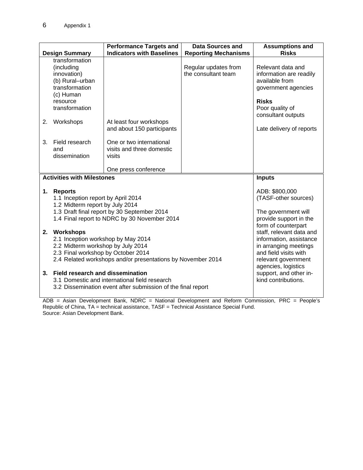|                                                                                                                                                                                                 |                                                                                                                                                          | <b>Performance Targets and</b>                                                          | <b>Data Sources and</b>                                                                                                                             | <b>Assumptions and</b>                                                                                                                         |
|-------------------------------------------------------------------------------------------------------------------------------------------------------------------------------------------------|----------------------------------------------------------------------------------------------------------------------------------------------------------|-----------------------------------------------------------------------------------------|-----------------------------------------------------------------------------------------------------------------------------------------------------|------------------------------------------------------------------------------------------------------------------------------------------------|
|                                                                                                                                                                                                 | <b>Design Summary</b>                                                                                                                                    | <b>Indicators with Baselines</b>                                                        | <b>Reporting Mechanisms</b>                                                                                                                         | <b>Risks</b>                                                                                                                                   |
|                                                                                                                                                                                                 | transformation<br>(including<br>innovation)<br>(b) Rural-urban<br>transformation<br>(c) Human<br>resource<br>transformation                              |                                                                                         | Regular updates from<br>the consultant team                                                                                                         | Relevant data and<br>information are readily<br>available from<br>government agencies<br><b>Risks</b><br>Poor quality of<br>consultant outputs |
| 2.                                                                                                                                                                                              | Workshops                                                                                                                                                | At least four workshops<br>and about 150 participants                                   |                                                                                                                                                     | Late delivery of reports                                                                                                                       |
| 3.                                                                                                                                                                                              | Field research<br>and<br>dissemination                                                                                                                   | One or two international<br>visits and three domestic<br>visits<br>One press conference |                                                                                                                                                     |                                                                                                                                                |
|                                                                                                                                                                                                 | <b>Activities with Milestones</b>                                                                                                                        |                                                                                         |                                                                                                                                                     | <b>Inputs</b>                                                                                                                                  |
| 1.                                                                                                                                                                                              | <b>Reports</b>                                                                                                                                           |                                                                                         |                                                                                                                                                     | ADB: \$800,000                                                                                                                                 |
|                                                                                                                                                                                                 | 1.1 Inception report by April 2014<br>1.2 Midterm report by July 2014                                                                                    |                                                                                         |                                                                                                                                                     | (TASF-other sources)                                                                                                                           |
|                                                                                                                                                                                                 |                                                                                                                                                          | The government will                                                                     |                                                                                                                                                     |                                                                                                                                                |
| 1.3 Draft final report by 30 September 2014<br>1.4 Final report to NDRC by 30 November 2014                                                                                                     |                                                                                                                                                          |                                                                                         |                                                                                                                                                     | provide support in the<br>form of counterpart                                                                                                  |
| 2.<br>Workshops<br>2.1 Inception workshop by May 2014<br>2.2 Midterm workshop by July 2014<br>2.3 Final workshop by October 2014<br>2.4 Related workshops and/or presentations by November 2014 |                                                                                                                                                          |                                                                                         | staff, relevant data and<br>information, assistance<br>in arranging meetings<br>and field visits with<br>relevant government<br>agencies, logistics |                                                                                                                                                |
| 3.                                                                                                                                                                                              | <b>Field research and dissemination</b><br>3.1 Domestic and international field research<br>3.2 Dissemination event after submission of the final report |                                                                                         |                                                                                                                                                     | support, and other in-<br>kind contributions.                                                                                                  |

ADB = Asian Development Bank, NDRC = National Development and Reform Commission, PRC = People's Republic of China, TA = technical assistance, TASF = Technical Assistance Special Fund. Source: Asian Development Bank.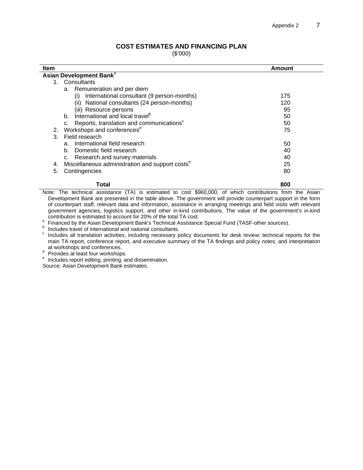#### **COST ESTIMATES AND FINANCING PLAN**

(\$'000)

| <b>Item</b>                                                       | Amount |  |  |  |
|-------------------------------------------------------------------|--------|--|--|--|
| Asian Development Bank <sup>a</sup>                               |        |  |  |  |
| Consultants<br>1.                                                 |        |  |  |  |
| a. Remuneration and per diem                                      |        |  |  |  |
| International consultant (9 person-months)<br>(i)                 | 175    |  |  |  |
| National consultants (24 person-months)<br>(ii)                   | 120    |  |  |  |
| (iii) Resource persons                                            | 95     |  |  |  |
| b. International and local travel <sup>b</sup>                    | 50     |  |  |  |
| c. Reports, translation and communications <sup>c</sup>           | 50     |  |  |  |
| Workshops and conferences <sup>d</sup><br>2.                      | 75     |  |  |  |
| Field research<br>3.                                              |        |  |  |  |
| International field research<br>a.                                | 50     |  |  |  |
| b. Domestic field research                                        | 40     |  |  |  |
| c. Research and survey materials                                  | 40     |  |  |  |
| Miscellaneous administration and support costs <sup>e</sup><br>4. | 25     |  |  |  |
| 5.<br>Contingencies                                               | 80     |  |  |  |
| Total                                                             | 800    |  |  |  |

Note: The technical assistance (TA) is estimated to cost \$960,000, of which contributions from the Asian Development Bank are presented in the table above. The government will provide counterpart support in the form of counterpart staff, relevant data and information, assistance in arranging meetings and field visits with relevant government agencies, logistics support, and other in-kind contributions. The value of the government's in-kind

<sup>a</sup> Financed by the Asian Development Bank's Technical Assistance Special Fund (TASF-other sources).<br><sup>b</sup> Includes travel of international and national consultants.

c includes all translation activities, including necessary policy documents for desk review; technical reports for the main TA report, conference report, and executive summary of the TA findings and policy notes; and interpretation

at workshops and conferences.<br>d Provides at least four workshops.

<sup>e</sup> Includes report editing, printing, and dissemination.

Source: Asian Development Bank estimates.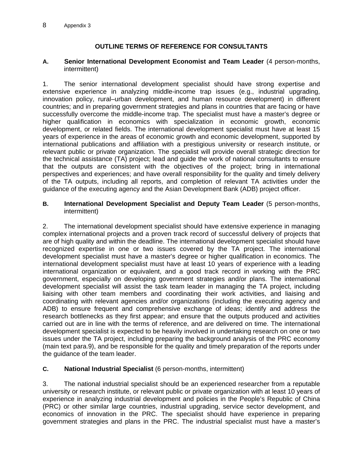## **OUTLINE TERMS OF REFERENCE FOR CONSULTANTS**

#### **A. Senior International Development Economist and Team Leader** (4 person-months, intermittent)

1. The senior international development specialist should have strong expertise and extensive experience in analyzing middle-income trap issues (e.g., industrial upgrading, innovation policy, rural–urban development, and human resource development) in different countries; and in preparing government strategies and plans in countries that are facing or have successfully overcome the middle-income trap. The specialist must have a master's degree or higher qualification in economics with specialization in economic growth, economic development, or related fields. The international development specialist must have at least 15 years of experience in the areas of economic growth and economic development, supported by international publications and affiliation with a prestigious university or research institute, or relevant public or private organization. The specialist will provide overall strategic direction for the technical assistance (TA) project; lead and guide the work of national consultants to ensure that the outputs are consistent with the objectives of the project; bring in international perspectives and experiences; and have overall responsibility for the quality and timely delivery of the TA outputs, including all reports, and completion of relevant TA activities under the guidance of the executing agency and the Asian Development Bank (ADB) project officer.

#### **B. International Development Specialist and Deputy Team Leader** (5 person-months, intermittent)

2. The international development specialist should have extensive experience in managing complex international projects and a proven track record of successful delivery of projects that are of high quality and within the deadline. The international development specialist should have recognized expertise in one or two issues covered by the TA project. The international development specialist must have a master's degree or higher qualification in economics. The international development specialist must have at least 10 years of experience with a leading international organization or equivalent, and a good track record in working with the PRC government, especially on developing government strategies and/or plans. The international development specialist will assist the task team leader in managing the TA project, including liaising with other team members and coordinating their work activities, and liaising and coordinating with relevant agencies and/or organizations (including the executing agency and ADB) to ensure frequent and comprehensive exchange of ideas; identify and address the research bottlenecks as they first appear; and ensure that the outputs produced and activities carried out are in line with the terms of reference, and are delivered on time. The international development specialist is expected to be heavily involved in undertaking research on one or two issues under the TA project, including preparing the background analysis of the PRC economy (main text para.9), and be responsible for the quality and timely preparation of the reports under the guidance of the team leader.

## **C. National Industrial Specialist** (6 person-months, intermittent)

3. The national industrial specialist should be an experienced researcher from a reputable university or research institute, or relevant public or private organization with at least 10 years of experience in analyzing industrial development and policies in the People's Republic of China (PRC) or other similar large countries, industrial upgrading, service sector development, and economics of innovation in the PRC. The specialist should have experience in preparing government strategies and plans in the PRC. The industrial specialist must have a master's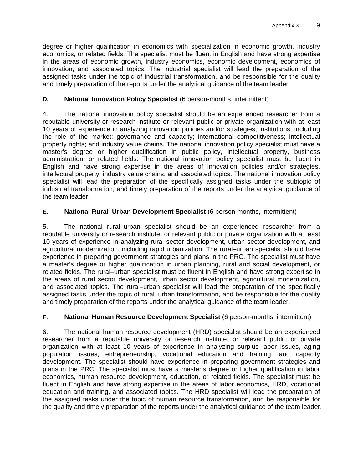degree or higher qualification in economics with specialization in economic growth, industry economics, or related fields. The specialist must be fluent in English and have strong expertise in the areas of economic growth, industry economics, economic development, economics of innovation, and associated topics. The industrial specialist will lead the preparation of the assigned tasks under the topic of industrial transformation, and be responsible for the quality and timely preparation of the reports under the analytical guidance of the team leader.

## **D. National Innovation Policy Specialist** (6 person-months, intermittent)

4. The national innovation policy specialist should be an experienced researcher from a reputable university or research institute or relevant public or private organization with at least 10 years of experience in analyzing innovation policies and/or strategies; institutions, including the role of the market; governance and capacity; international competitiveness; intellectual property rights; and industry value chains. The national innovation policy specialist must have a master's degree or higher qualification in public policy, intellectual property, business administration, or related fields. The national innovation policy specialist must be fluent in English and have strong expertise in the areas of innovation policies and/or strategies, intellectual property, industry value chains, and associated topics. The national innovation policy specialist will lead the preparation of the specifically assigned tasks under the subtopic of industrial transformation, and timely preparation of the reports under the analytical guidance of the team leader.

## **E. National Rural–Urban Development Specialist** (6 person-months, intermittent)

5. The national rural–urban specialist should be an experienced researcher from a reputable university or research institute, or relevant public or private organization with at least 10 years of experience in analyzing rural sector development, urban sector development, and agricultural modernization, including rapid urbanization. The rural–urban specialist should have experience in preparing government strategies and plans in the PRC. The specialist must have a master's degree or higher qualification in urban planning, rural and social development, or related fields. The rural–urban specialist must be fluent in English and have strong expertise in the areas of rural sector development, urban sector development, agricultural modernization, and associated topics. The rural–urban specialist will lead the preparation of the specifically assigned tasks under the topic of rural–urban transformation, and be responsible for the quality and timely preparation of the reports under the analytical guidance of the team leader.

## **F. National Human Resource Development Specialist** (6 person-months, intermittent)

6. The national human resource development (HRD) specialist should be an experienced researcher from a reputable university or research institute, or relevant public or private organization with at least 10 years of experience in analyzing surplus labor issues, aging population issues, entrepreneurship, vocational education and training, and capacity development. The specialist should have experience in preparing government strategies and plans in the PRC. The specialist must have a master's degree or higher qualification in labor economics, human resource development, education, or related fields. The specialist must be fluent in English and have strong expertise in the areas of labor economics, HRD, vocational education and training, and associated topics. The HRD specialist will lead the preparation of the assigned tasks under the topic of human resource transformation, and be responsible for the quality and timely preparation of the reports under the analytical guidance of the team leader.